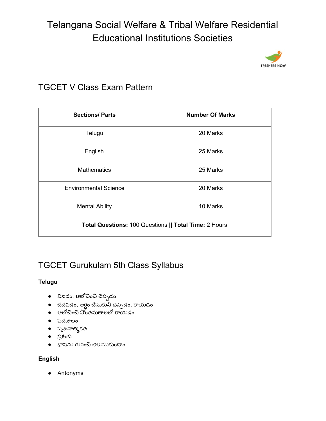

### TGCET V Class Exam Pattern

| <b>Sections/Parts</b>                                 | <b>Number Of Marks</b> |
|-------------------------------------------------------|------------------------|
| Telugu                                                | 20 Marks               |
| English                                               | 25 Marks               |
| <b>Mathematics</b>                                    | 25 Marks               |
| <b>Environmental Science</b>                          | 20 Marks               |
| <b>Mental Ability</b>                                 | 10 Marks               |
| Total Questions: 100 Questions    Total Time: 2 Hours |                        |

### TGCET Gurukulam 5th Class Syllabus

### **Telugu**

- **•** వినడం, ఆలోచించి చెప్పడం
- చదవడం, అర్దం చేసుకుని చెప్పడం, రాయడం
- ఆలోచించి సొంతమతాలలో రాయడం
- పదజలం
- సృజనాత్మకత
- పశంస
- $\bullet$  భాషను గురించి తెలుసుకుందాం

### **English**

● Antonyms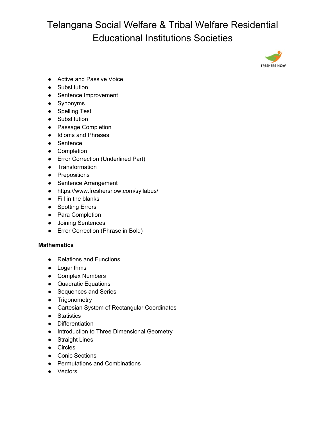

- Active and Passive Voice
- Substitution
- Sentence Improvement
- Synonyms
- Spelling Test
- Substitution
- Passage Completion
- Idioms and Phrases
- Sentence
- Completion
- Error Correction (Underlined Part)
- Transformation
- Prepositions
- Sentence Arrangement
- <https://www.freshersnow.com/syllabus/>
- Fill in the blanks
- Spotting Errors
- Para Completion
- Joining Sentences
- Error Correction (Phrase in Bold)

#### **Mathematics**

- Relations and Functions
- Logarithms
- Complex Numbers
- Quadratic Equations
- Sequences and Series
- Trigonometry
- Cartesian System of Rectangular Coordinates
- Statistics
- Differentiation
- Introduction to Three Dimensional Geometry
- Straight Lines
- Circles
- Conic Sections
- Permutations and Combinations
- Vectors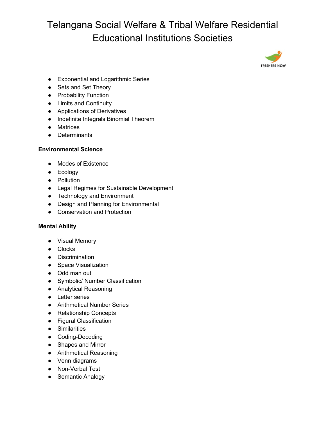

- Exponential and Logarithmic Series
- Sets and Set Theory
- Probability Function
- Limits and Continuity
- Applications of Derivatives
- Indefinite Integrals Binomial Theorem
- Matrices
- Determinants

#### **Environmental Science**

- Modes of Existence
- Ecology
- Pollution
- Legal Regimes for Sustainable Development
- Technology and Environment
- Design and Planning for Environmental
- Conservation and Protection

#### **Mental Ability**

- Visual Memory
- Clocks
- Discrimination
- Space Visualization
- Odd man out
- Symbolic/ Number Classification
- Analytical Reasoning
- Letter series
- Arithmetical Number Series
- Relationship Concepts
- Figural Classification
- Similarities
- Coding-Decoding
- Shapes and Mirror
- Arithmetical Reasoning
- Venn diagrams
- Non-Verbal Test
- Semantic Analogy